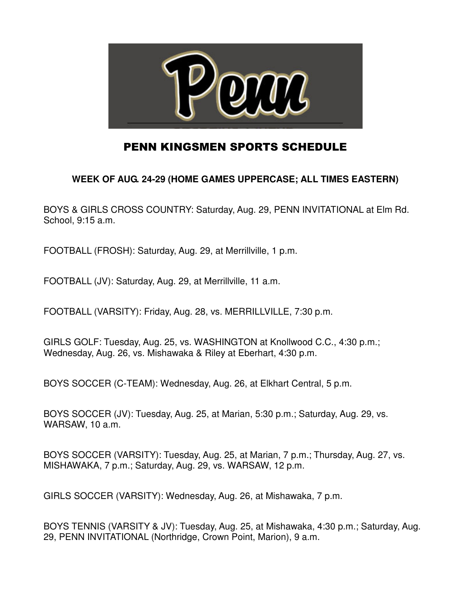

## PENN KINGSMEN SPORTS SCHEDULE

## **WEEK OF AUG. 24-29 (HOME GAMES UPPERCASE; ALL TIMES EASTERN)**

BOYS & GIRLS CROSS COUNTRY: Saturday, Aug. 29, PENN INVITATIONAL at Elm Rd. School, 9:15 a.m.

FOOTBALL (FROSH): Saturday, Aug. 29, at Merrillville, 1 p.m.

FOOTBALL (JV): Saturday, Aug. 29, at Merrillville, 11 a.m.

FOOTBALL (VARSITY): Friday, Aug. 28, vs. MERRILLVILLE, 7:30 p.m.

GIRLS GOLF: Tuesday, Aug. 25, vs. WASHINGTON at Knollwood C.C., 4:30 p.m.; Wednesday, Aug. 26, vs. Mishawaka & Riley at Eberhart, 4:30 p.m.

BOYS SOCCER (C-TEAM): Wednesday, Aug. 26, at Elkhart Central, 5 p.m.

BOYS SOCCER (JV): Tuesday, Aug. 25, at Marian, 5:30 p.m.; Saturday, Aug. 29, vs. WARSAW, 10 a.m.

BOYS SOCCER (VARSITY): Tuesday, Aug. 25, at Marian, 7 p.m.; Thursday, Aug. 27, vs. MISHAWAKA, 7 p.m.; Saturday, Aug. 29, vs. WARSAW, 12 p.m.

GIRLS SOCCER (VARSITY): Wednesday, Aug. 26, at Mishawaka, 7 p.m.

BOYS TENNIS (VARSITY & JV): Tuesday, Aug. 25, at Mishawaka, 4:30 p.m.; Saturday, Aug. 29, PENN INVITATIONAL (Northridge, Crown Point, Marion), 9 a.m.